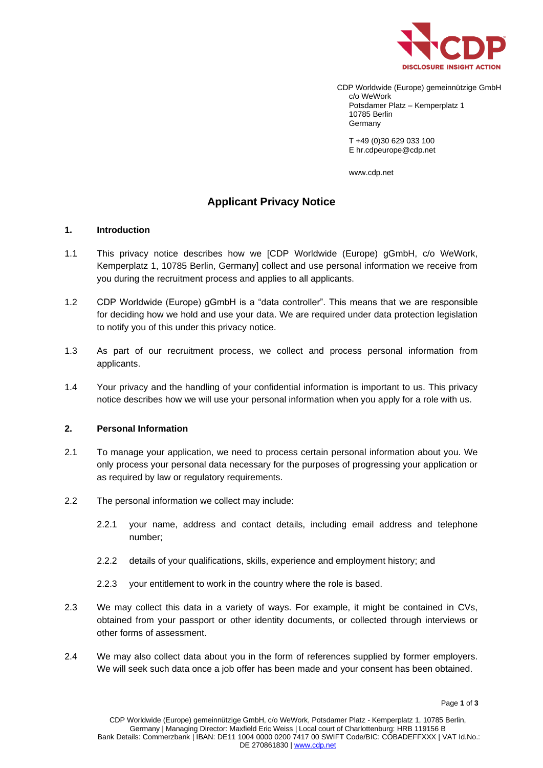

CDP Worldwide (Europe) gemeinnützige GmbH c/o WeWork Potsdamer Platz – Kemperplatz 1 10785 Berlin Germany

T +49 (0)30 629 033 100 E hr.cdpeurope@cdp.net

www.cdp.net

# **Applicant Privacy Notice**

## **1. Introduction**

- 1.1 This privacy notice describes how we [CDP Worldwide (Europe) gGmbH, c/o WeWork, Kemperplatz 1, 10785 Berlin, Germany] collect and use personal information we receive from you during the recruitment process and applies to all applicants.
- 1.2 CDP Worldwide (Europe) gGmbH is a "data controller". This means that we are responsible for deciding how we hold and use your data. We are required under data protection legislation to notify you of this under this privacy notice.
- 1.3 As part of our recruitment process, we collect and process personal information from applicants.
- 1.4 Your privacy and the handling of your confidential information is important to us. This privacy notice describes how we will use your personal information when you apply for a role with us.

## **2. Personal Information**

- 2.1 To manage your application, we need to process certain personal information about you. We only process your personal data necessary for the purposes of progressing your application or as required by law or regulatory requirements.
- 2.2 The personal information we collect may include:
	- 2.2.1 your name, address and contact details, including email address and telephone number;
	- 2.2.2 details of your qualifications, skills, experience and employment history; and
	- 2.2.3 your entitlement to work in the country where the role is based.
- 2.3 We may collect this data in a variety of ways. For example, it might be contained in CVs, obtained from your passport or other identity documents, or collected through interviews or other forms of assessment.
- 2.4 We may also collect data about you in the form of references supplied by former employers. We will seek such data once a job offer has been made and your consent has been obtained.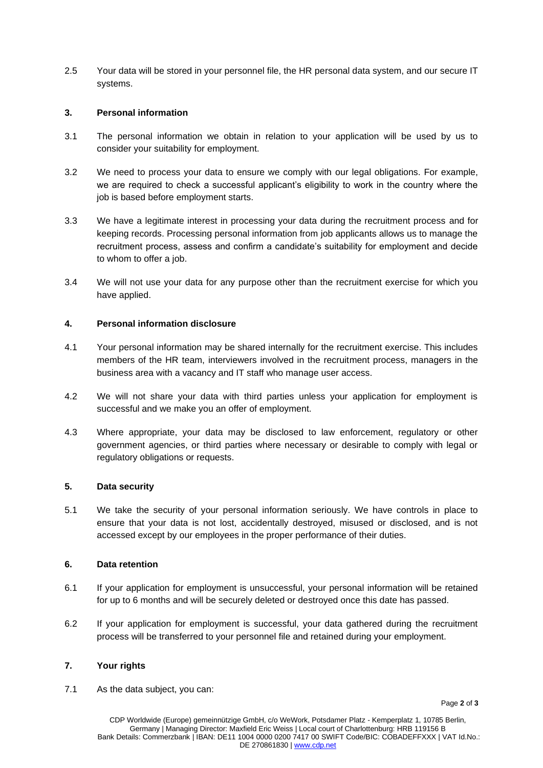2.5 Your data will be stored in your personnel file, the HR personal data system, and our secure IT systems.

## **3. Personal information**

- 3.1 The personal information we obtain in relation to your application will be used by us to consider your suitability for employment.
- 3.2 We need to process your data to ensure we comply with our legal obligations. For example, we are required to check a successful applicant's eligibility to work in the country where the job is based before employment starts.
- 3.3 We have a legitimate interest in processing your data during the recruitment process and for keeping records. Processing personal information from job applicants allows us to manage the recruitment process, assess and confirm a candidate's suitability for employment and decide to whom to offer a job.
- 3.4 We will not use your data for any purpose other than the recruitment exercise for which you have applied.

## **4. Personal information disclosure**

- 4.1 Your personal information may be shared internally for the recruitment exercise. This includes members of the HR team, interviewers involved in the recruitment process, managers in the business area with a vacancy and IT staff who manage user access.
- 4.2 We will not share your data with third parties unless your application for employment is successful and we make you an offer of employment.
- 4.3 Where appropriate, your data may be disclosed to law enforcement, regulatory or other government agencies, or third parties where necessary or desirable to comply with legal or regulatory obligations or requests.

## **5. Data security**

5.1 We take the security of your personal information seriously. We have controls in place to ensure that your data is not lost, accidentally destroyed, misused or disclosed, and is not accessed except by our employees in the proper performance of their duties.

## **6. Data retention**

- 6.1 If your application for employment is unsuccessful, your personal information will be retained for up to 6 months and will be securely deleted or destroyed once this date has passed.
- 6.2 If your application for employment is successful, your data gathered during the recruitment process will be transferred to your personnel file and retained during your employment.

## **7. Your rights**

7.1 As the data subject, you can: